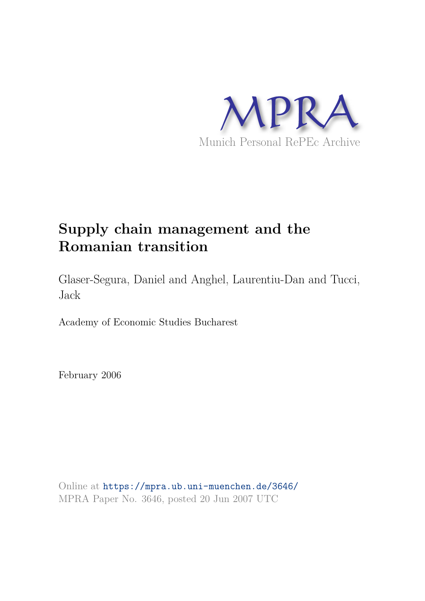

# **Supply chain management and the Romanian transition**

Glaser-Segura, Daniel and Anghel, Laurentiu-Dan and Tucci, Jack

Academy of Economic Studies Bucharest

February 2006

Online at https://mpra.ub.uni-muenchen.de/3646/ MPRA Paper No. 3646, posted 20 Jun 2007 UTC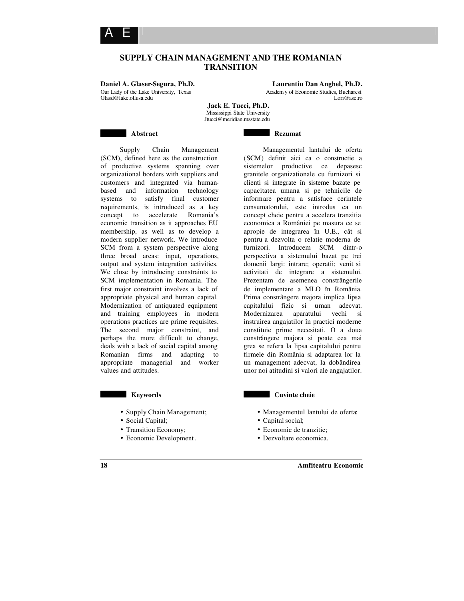

**Daniel A. Glaser-Segura, Ph.D. Laurentiu Dan Anghel, Ph.D.** Our Lady of the Lake University, Texas Academy of Economic Studies, Bucharest<br>
Glasd@lake.ollusa.edu Lori@ase.ro  $G$ lasd@lake.ollusa.edu

A E

Managementul lantului de oferta

**Jack E. Tucci, Ph.D.** Mississippi State University Jtucci@meridian.msstate.edu

**Rezumat** 

**Abstract** 

Supply Chain Management (SCM), defined here as the construction of productive systems spanning over organizational borders with suppliers and customers and integrated via humanbased and information technology systems to satisfy final customer requirements, is introduced as a key concept to accelerate Romania's economic transition as it approaches EU membership, as well as to develop a modern supplier network. We introduce SCM from a system perspective along three broad areas: input, operations, output and system integration activities. We close by introducing constraints to SCM implementation in Romania. The first major constraint involves a lack of appropriate physical and human capital. Modernization of antiquated equipment and training employees in modern operations practices are prime requisites. The second major constraint, and perhaps the more difficult to change, deals with a lack of social capital among Romanian firms and adapting to appropriate managerial and worker values and attitudes.

#### **Keywords**

- Supply Chain Management;
- Social Capital;
- Transition Economy;
- Economic Development .

(SCM) definit aici ca o constructie a sistemelor productive ce depasesc granitele organizationale cu furnizori si clienti si integrate în sisteme bazate pe capacitatea umana si pe tehnicile de informare pentru a satisface cerintele consumatorului, este introdus ca un concept cheie pentru a accelera tranzitia economica a României pe masura ce se apropie de integrarea în U.E., cât si pentru a dezvolta o relatie moderna de furnizori. Introducem SCM dintr-o perspectiva a sistemului bazat pe trei domenii largi: intrare; operatii; venit si activitati de integrare a sistemului. Prezentam de asemenea constrângerile de implementare a MLO în România. Prima constrângere majora implica lipsa capitalului fizic si uman adecvat. Modernizarea aparatului vechi si instruirea angajatilor în practici moderne constituie prime necesitati. O a doua constrângere majora si poate cea mai grea se refera la lipsa capitalului pentru firmele din România si adaptarea lor la un management adecvat, la dobândirea unor noi atitudini si valori ale angajatilor.

#### **Cuvinte cheie**

- Managementul lantului de oferta;
- Capital social;
- Economie de tranzitie;
- Dezvoltare economica.

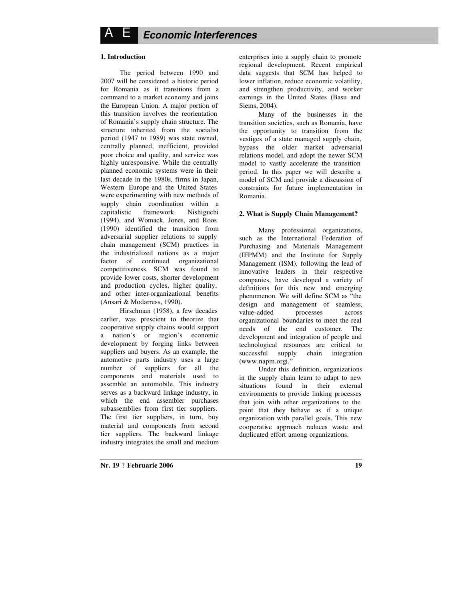## **1. Introduction**

The period between 1990 and 2007 will be considered a historic period for Romania as it transitions from a command to a market economy and joins the European Union. A major portion of this transition involves the reorientation of Romania's supply chain structure. The structure inherited from the socialist period (1947 to 1989) was state owned, centrally planned, inefficient, provided poor choice and quality, and service was highly unresponsive. While the centrally planned economic systems were in their last decade in the 1980s, firms in Japan, Western Europe and the United States were experimenting with new methods of supply chain coordination within a capitalistic framework. Nishiguchi (1994), and Womack, Jones, and Roos (1990) identified the transition from adversarial supplier relations to supply chain management (SCM) practices in the industrialized nations as a major factor of continued organizational competitiveness. SCM was found to provide lower costs, shorter development and production cycles, higher quality, and other inter-organizational benefits (Ansari & Modarress, 1990).

Hirschman (1958), a few decades earlier, was prescient to theorize that cooperative supply chains would support a nation's or region's economic development by forging links between suppliers and buyers. As an example, the automotive parts industry uses a large number of suppliers for all the components and materials used to assemble an automobile. This industry serves as a backward linkage industry, in which the end assembler purchases subassemblies from first tier suppliers. The first tier suppliers, in turn, buy material and components from second tier suppliers. The backward linkage industry integrates the small and medium enterprises into a supply chain to promote regional development. Recent empirical data suggests that SCM has helped to lower inflation, reduce economic volatility, and strengthen productivity, and worker earnings in the United States (Basu and Siems, 2004).

Many of the businesses in the transition societies, such as Romania, have the opportunity to transition from the vestiges of a state managed supply chain, bypass the older market adversarial relations model, and adopt the newer SCM model to vastly accelerate the transition period. In this paper we will describe a model of SCM and provide a discussion of constraints for future implementation in Romania.

#### **2. What is Supply Chain Management?**

Many professional organizations, such as the International Federation of Purchasing and Materials Management (IFPMM) and the Institute for Supply Management (ISM), following the lead of innovative leaders in their respective companies, have developed a variety of definitions for this new and emerging phenomenon. We will define SCM as "the design and management of seamless, value-added processes across organizational boundaries to meet the real needs of the end customer. The development and integration of people and technological resources are critical to successful supply chain integration (www.napm.org)."

Under this definition, organizations in the supply chain learn to adapt to new situations found in their external environments to provide linking processes that join with other organizations to the point that they behave as if a unique organization with parallel goals. This new cooperative approach reduces waste and duplicated effort among organizations.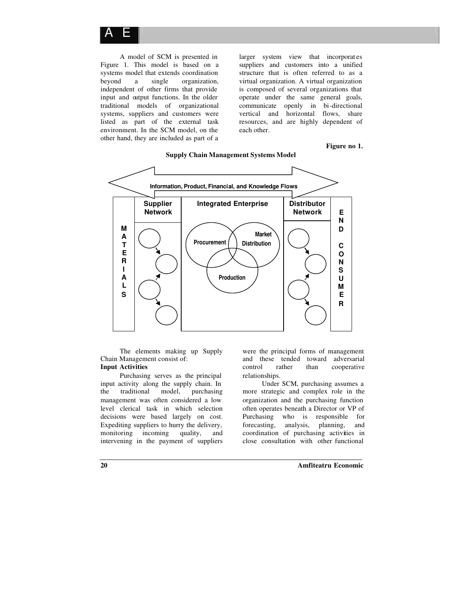

A model of SCM is presented in Figure 1. This model is based on a systems model that extends coordination beyond a single organization, independent of other firms that provide input and output functions. In the older traditional models of organizational systems, suppliers and customers were listed as part of the external task environment. In the SCM model, on the other hand, they are included as part of a

larger system view that incorporat es suppliers and customers into a unified structure that is often referred to as a virtual organization. A virtual organization is composed of several organizations that operate under the same general goals, communicate openly in bi-directional vertical and horizontal flows, share resources, and are highly dependent of each other.

#### **Figure no 1.**



## **Supply Chain Management Systems Model**

The elements making up Supply Chain Management consist of: **Input Activities**

Purchasing serves as the principal input activity along the supply chain. In the traditional model, purchasing management was often considered a low level clerical task in which selection decisions were based largely on cost. Expediting suppliers to hurry the delivery,<br>monitoring incoming quality, and monitoring incoming intervening in the payment of suppliers

were the principal forms of management and these tended toward adversarial control rather than cooperative relationships.

Under SCM, purchasing assumes a more strategic and complex role in the organization and the purchasing function often operates beneath a Director or VP of Purchasing who is responsible for forecasting, analysis, planning, and coordination of purchasing activities in close consultation with other functional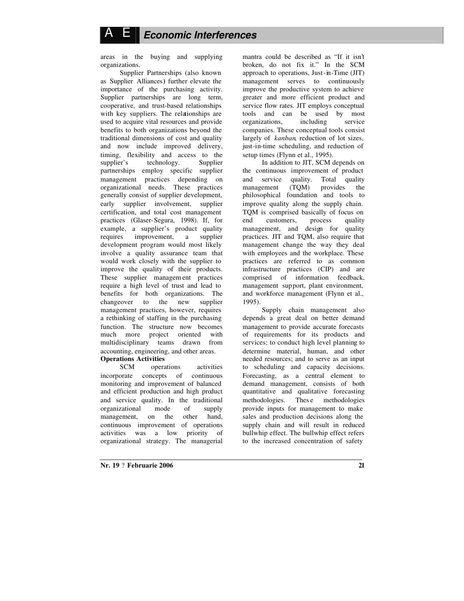# A E *Economic Interferences*

areas in the buying and supplying organizations.

Supplier Partnerships (also known as Supplier Alliances**)** further elevate the importance of the purchasing activity. Supplier partnerships are long term, cooperative, and trust-based relationships with key suppliers. The relationships are used to acquire vital resources and provide benefits to both organizations beyond the traditional dimensions of cost and quality and now include improved delivery, timing, flexibility and access to the supplier's technology. Supplier partnerships employ specific supplier management practices depending on organizational needs. These practices generally consist of supplier development, early supplier involvement, supplier certification, and total cost management practices (Glaser-Segura, 1998). If, for example, a supplier's product quality requires improvement, a supplier development program would most likely involve a quality assurance team that would work closely with the supplier to improve the quality of their products. These supplier managem ent practices require a high level of trust and lead to benefits for both organizations. The changeover to the new supplier management practices, however, requires a rethinking of staffing in the purchasing function. The structure now becomes much more project oriented with multidisciplinary teams drawn from accounting, engineering, and other areas. **Operations Activities**

SCM operations activities incorporate concepts of continuous monitoring and improvement of balanced and efficient production and high product and service quality. In the traditional organizational mode of supply management, on the other hand, continuous improvement of operations activities was a low priority of organizational strategy. The managerial

mantra could be described as "If it isn't broken, do not fix it." In the SCM approach to operations, Just-in-Time (JIT) management serves to continuously improve the productive system to achieve greater and more efficient product and service flow rates. JIT employs conceptual tools and can be used by most organizations, including service companies. These conceptual tools consist largely of *kanban*, reduction of lot sizes, just-in-time scheduling, and reduction of setup times (Flynn et al., 1995).

In addition to JIT, SCM depends on the continuous improvement of product and service quality. Total quality<br>management (TQM) provides the management  $(TQM)$ philosophical foundation and tools to improve quality along the supply chain. TQM is comprised basically of focus on end customers, process quality management, and design for quality practices. JIT and TQM, also require that management change the way they deal with employees and the workplace. These practices are referred to as common infrastructure practices (CIP) and are comprised of information feedback, management support, plant environment, and workforce management (Flynn et al., 1995).

Supply chain management also depends a great deal on better demand management to provide accurate forecasts of requirements for its products and services; to conduct high level planning to determine material, human, and other needed resources; and to serve as an input to scheduling and capacity decisions. Forecasting, as a central element to demand management, consists of both quantitative and qualitative forecasting methodologies. These methodologies provide inputs for management to make sales and production decisions along the supply chain and will result in reduced bullwhip effect. The bullwhip effect refers to the increased concentration of safety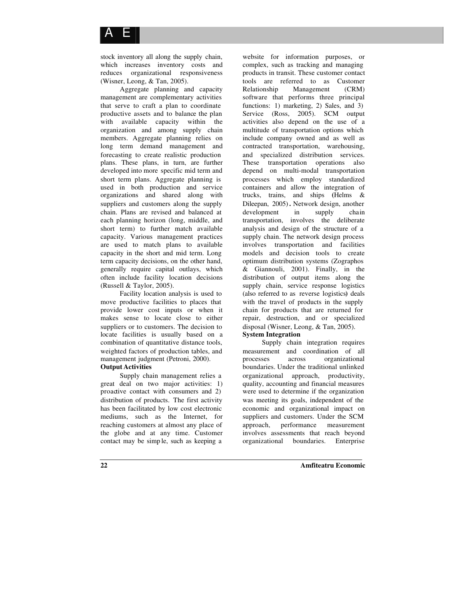stock inventory all along the supply chain, which increases inventory costs and reduces organizational responsiveness (Wisner, Leong, & Tan, 2005).

Aggregate planning and capacity management are complementary activities that serve to craft a plan to coordinate productive assets and to balance the plan with available capacity within the organization and among supply chain members. Aggregate planning relies on long term demand management and forecasting to create realistic production plans. These plans, in turn, are further developed into more specific mid term and short term plans. Aggregate planning is used in both production and service organizations and shared along with suppliers and customers along the supply chain. Plans are revised and balanced at each planning horizon (long, middle, and short term) to further match available capacity. Various management practices are used to match plans to available capacity in the short and mid term. Long term capacity decisions, on the other hand, generally require capital outlays, which often include facility location decisions (Russell & Taylor, 2005).

Facility location analysis is used to move productive facilities to places that provide lower cost inputs or when it makes sense to locate close to either suppliers or to customers. The decision to locate facilities is usually based on a combination of quantitative distance tools, weighted factors of production tables, and management judgment (Petroni, 2000). **Output Activities**

Supply chain management relies a great deal on two major activities: 1) proactive contact with consumers and 2) distribution of products. The first activity has been facilitated by low cost electronic mediums, such as the Internet, for reaching customers at almost any place of the globe and at any time. Customer contact may be simp le, such as keeping a

website for information purposes, or complex, such as tracking and managing products in transit. These customer contact tools are referred to as Customer Relationship Management (CRM) software that performs three principal functions: 1) marketing, 2) Sales, and 3) Service (Ross, 2005). SCM output activities also depend on the use of a multitude of transportation options which include company owned and as well as contracted transportation, warehousing, and specialized distribution services. These transportation operations also depend on multi-modal transportation processes which employ standardized containers and allow the integration of trucks, trains, and ships **(**Helms & Dileepan, 2005)**.** Network design, another development in supply chain transportation, involves the deliberate analysis and design of the structure of a supply chain. The network design process involves transportation and facilities models and decision tools to create optimum distribution systems (Zographos & Giannouli, 2001). Finally, in the distribution of output items along the supply chain, service response logistics (also referred to as reverse logistics**)** deals with the travel of products in the supply chain for products that are returned for repair, destruction, and or specialized disposal (Wisner, Leong, & Tan, 2005).

## **System Integration**

Supply chain integration requires measurement and coordination of all processes across organizational boundaries. Under the traditional unlinked organizational approach, productivity, quality, accounting and financial measures were used to determine if the organization was meeting its goals, independent of the economic and organizational impact on suppliers and customers. Under the SCM approach, performance measurement involves assessments that reach beyond organizational boundaries. Enterprise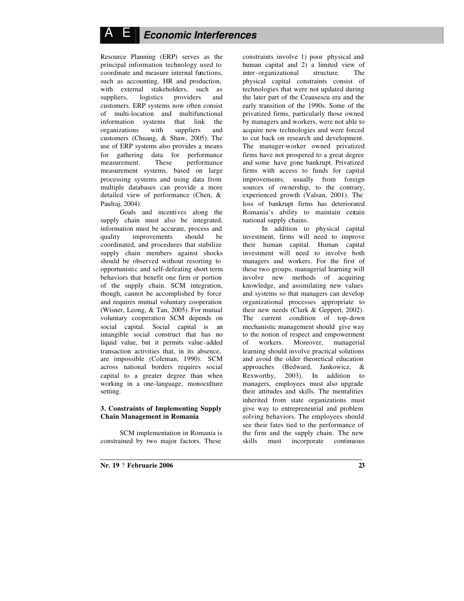# A E *Economic Interferences*

Resource Planning (ERP) serves as the principal information technology used to coordinate and measure internal functions, such as accounting, HR and production, with external stakeholders, such as suppliers, logistics providers and customers. ERP systems now often consist of multi-location and multifunctional information systems that link the organizations with suppliers and customers (Chuang, & Shaw, 2005). The use of ERP systems also provides a means for gathering data for performance measurement. These performance measurement systems, based on large processing systems and using data from multiple databases can provide a more detailed view of performance (Chen, & Paulraj, 2004).

Goals and incentives along the supply chain must also be integrated, information must be accurate, process and quality improvements should be coordinated, and procedures that stabilize supply chain members against shocks should be observed without resorting to opportunistic and self-defeating short term behaviors that benefit one firm or portion of the supply chain. SCM integration, though, cannot be accomplished by force and requires mutual voluntary cooperation (Wisner, Leong, & Tan, 2005). For mutual voluntary cooperation SCM depends on social capital. Social capital is an intangible social construct that has no liquid value, but it permits value-added transaction activities that, in its absence, are impossible (Coleman, 1990). SCM across national borders requires social capital to a greater degree than when working in a one-language, monoculture setting.

## **3. Constraints of Implementing Supply Chain Management in Romania**

SCM implementation in Romania is constrained by two major factors. These

constraints involve 1) poor physical and human capital and 2) a limited view of inter-organizational structure. The physical capital constraints consist of technologies that were not updated during the later part of the Ceausescu era and the early transition of the 1990s. Some of the privatized firms, particularly those owned by managers and workers, were not able to acquire new technologies and were forced to cut back on research and development. The manager-worker owned privatized firms have not prospered to a great degree and some have gone bankrupt. Privatized firms with access to funds for capital improvements, usually from foreign sources of ownership, to the contrary, experienced growth (Valsan, 2001). The loss of bankrupt firms has deteriorated Romania's ability to maintain certain national supply chains.

In addition to physical capital investment, firms will need to improve their human capital. Human capital investment will need to involve both managers and workers. For the first of these two groups, managerial learning will involve new methods of acquiring knowledge, and assimilating new values and systems so that managers can develop organizational processes appropriate to their new needs (Clark & Geppert, 2002). The current condition of top-down mechanistic management should give way to the notion of respect and empowerment of workers. Moreover, managerial learning should involve practical solutions and avoid the older theoretical education approaches (Bedward, Jankowicz, & Rexworthy, 2003). In addition to managers, employees must also upgrade their attitudes and skills. The mentalities inherited from state organizations must give way to entrepreneurial and problem solving behaviors. The employees should see their fates tied to the performance of the firm and the supply chain. The new skills must incorporate continuous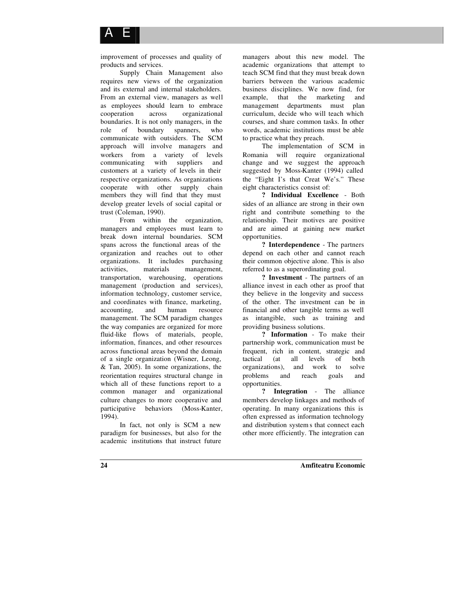

improvement of processes and quality of products and services.

Supply Chain Management also requires new views of the organization and its external and internal stakeholders. From an external view, managers as well as employees should learn to embrace cooperation across organizational boundaries. It is not only managers, in the role of boundary spanners, who communicate with outsiders. The SCM approach will involve managers and workers from a variety of levels communicating with suppliers and customers at a variety of levels in their respective organizations. As organizations cooperate with other supply chain members they will find that they must develop greater levels of social capital or trust (Coleman, 1990).

From within the organization, managers and employees must learn to break down internal boundaries. SCM spans across the functional areas of the organization and reaches out to other organizations. It includes purchasing activities, materials management, transportation, warehousing, operations management (production and services), information technology, customer service, and coordinates with finance, marketing, accounting, and human resource management. The SCM paradigm changes the way companies are organized for more fluid-like flows of materials, people, information, finances, and other resources across functional areas beyond the domain of a single organization (Wisner, Leong, & Tan, 2005). In some organizations, the reorientation requires structural change in which all of these functions report to a common manager and organizational culture changes to more cooperative and participative behaviors (Moss-Kanter, 1994).

In fact, not only is SCM a new paradigm for businesses, but also for the academic institutions that instruct future

managers about this new model. The academic organizations that attempt to teach SCM find that they must break down barriers between the various academic business disciplines. We now find, for example, that the marketing and management departments must plan curriculum, decide who will teach which courses, and share common tasks. In other words, academic institutions must be able to practice what they preach.

The implementation of SCM in Romania will require organizational change and we suggest the approach suggested by Moss-Kanter (1994) called the "Eight I's that Creat We's." These eight characteristics consist of:

**? Individual Excellence** - Both sides of an alliance are strong in their own right and contribute something to the relationship. Their motives are positive and are aimed at gaining new market opportunities.

**? Interdependence** - The partners depend on each other and cannot reach their common objective alone. This is also referred to as a superordinating goal.

**? Investment** - The partners of an alliance invest in each other as proof that they believe in the longevity and success of the other. The investment can be in financial and other tangible terms as well as intangible, such as training and providing business solutions.

**? Information** - To make their partnership work, communication must be frequent, rich in content, strategic and tactical (at all levels of both organizations), and work to solve problems and reach goals and opportunities.

**? Integration** - The alliance members develop linkages and methods of operating. In many organizations this is often expressed as information technology and distribution system s that connect each other more efficiently. The integration can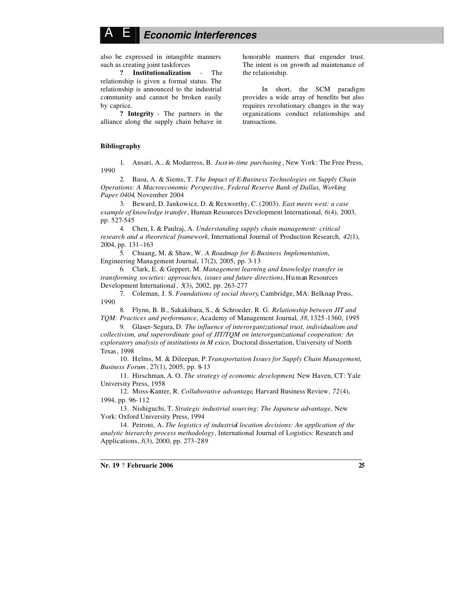# A E *Economic Interferences*

also be expressed in intangible manners such as creating joint taskforces

**? Institutionalization** - The relationship is given a formal status. The relationship is announced to the industrial community and cannot be broken easily by caprice.

**? Integrity** - The partners in the alliance along the supply chain behave in

honorable manners that engender trust. The intent is on growth ad maintenance of the relationship.

In short, the SCM paradigm provides a wide array of benefits but also requires revolutionary changes in the way organizations conduct relationships and transactions.

#### **Bibliography**

1. Ansari, A., & Modarress, B*. Just-in-time purchasing* , New York: The Free Press, 1990

2. Basu, A. & Siems, T. *The Impact of E-Business Technologies on Supply Chain Operations: A Macroeconomic Perspective, Federal Reserve Bank of Dallas, Working Paper 0404*, November 2004

3. Beward, D. Jankowicz, D. & Rexworthy, C. (2003). *East meets west: a case example of knowledge transfer*, Human Resources Development International*, 6*(4), 2003, pp. 527-545

4. Chen, I. & Paulraj, A. *Understanding supply chain management: critical research and a theoretical framework,* International Journal of Production Research, *42(*1), 2004, pp. 131–163

5. Chuang, M. & Shaw, W. *A Roadmap for E-Business Implementation*, Engineering Management Journal, 17(2), 2005, pp. 3-13

6. Clark, E. & Geppert, M. *Management learning and knowledge transfer in transforming societies: approaches, issues and future directions*, Human Resources Development International *, 5*(3), 2002, pp. 263-277

7. Coleman, J. S. *Foundations of social theory*, Cambridge, MA: Belknap Press, 1990

8. Flynn, B. B., Sakakibara, S., & Schroeder, R. G. *Relationship between JIT and TQM: Practices and performance*, Academy of Management Journal*, 38*, 1325 -1360, 1995

9. Glaser-Segura, D. *The influence of interorganizational trust, individualism and collectivism, and superordinate goal of JIT/TQM on interorganizational cooperation: An exploratory analysis of institutions in M exico,* Doctoral dissertation, University of North Texas, 1998

10. Helms, M. & Dileepan, P. *Transportation Issues for Supply Chain Management*, *Business Forum* , 27(1), 2005, pp. 8-13

11. Hirschman, A. O. *The strategy of economic development,* New Haven, CT: Yale University Press, 1958

12. Moss-Kanter, R. *Collaborative advantage,* Harvard Business Review*, 72*(4), 1994, pp. 96-112

13. Nishiguchi, T. *Strategic industrial sourcing: The Japanese advantage,* New York: Oxford University Press, 1994

14. Petroni, A. *The logistics of industrial location decisions: An application of the analytic hierarchy process methodology,* International Journal of Logistics: Research and Applications, *3*(3), 2000, pp. 273-289